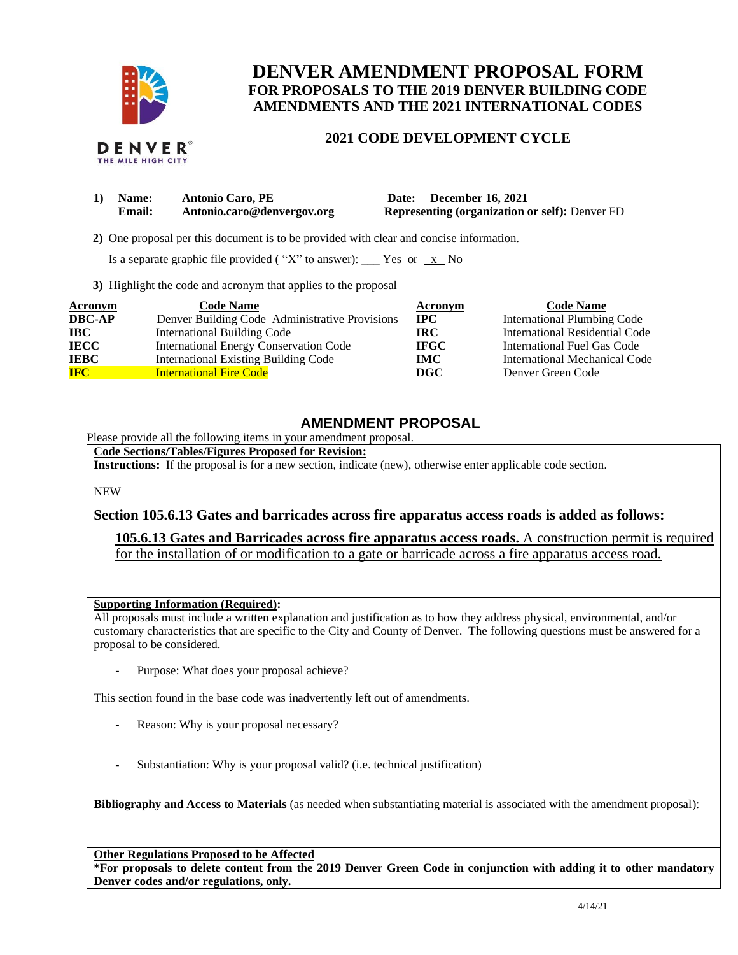

THE MILE HIGH CITY

## **DENVER AMENDMENT PROPOSAL FORM FOR PROPOSALS TO THE 2019 DENVER BUILDING CODE AMENDMENTS AND THE 2021 INTERNATIONAL CODES**

## **2021 CODE DEVELOPMENT CYCLE**

| 1) Name:      | <b>Antonio Caro, PE</b>    | Date: December 16, 2021                               |
|---------------|----------------------------|-------------------------------------------------------|
| <b>Email:</b> | Antonio.caro@denvergov.org | <b>Representing (organization or self): Denver FD</b> |

 **2)** One proposal per this document is to be provided with clear and concise information.

Is a separate graphic file provided ("X" to answer): \_\_\_ Yes or  $\overline{x}$  No

**3)** Highlight the code and acronym that applies to the proposal

| Acronym       | <b>Code Name</b>                               | Acronym     | <b>Code Name</b>                   |
|---------------|------------------------------------------------|-------------|------------------------------------|
| <b>DBC-AP</b> | Denver Building Code–Administrative Provisions | <b>IPC</b>  | <b>International Plumbing Code</b> |
| <b>IBC</b>    | <b>International Building Code</b>             | <b>IRC</b>  | International Residential Code     |
| <b>IECC</b>   | International Energy Conservation Code         | <b>IFGC</b> | International Fuel Gas Code        |
| <b>IEBC</b>   | <b>International Existing Building Code</b>    | <b>IMC</b>  | International Mechanical Code      |
| <b>IFC</b>    | <b>International Fire Code</b>                 | DGC         | Denver Green Code                  |

## **AMENDMENT PROPOSAL**

Please provide all the following items in your amendment proposal.

**Code Sections/Tables/Figures Proposed for Revision:**

**Instructions:** If the proposal is for a new section, indicate (new), otherwise enter applicable code section.

NEW

**Section 105.6.13 Gates and barricades across fire apparatus access roads is added as follows:**

**105.6.13 Gates and Barricades across fire apparatus access roads.** A construction permit is required for the installation of or modification to a gate or barricade across a fire apparatus access road.

## **Supporting Information (Required):**

All proposals must include a written explanation and justification as to how they address physical, environmental, and/or customary characteristics that are specific to the City and County of Denver. The following questions must be answered for a proposal to be considered.

Purpose: What does your proposal achieve?

This section found in the base code was inadvertently left out of amendments.

- Reason: Why is your proposal necessary?
- Substantiation: Why is your proposal valid? (i.e. technical justification)

**Bibliography and Access to Materials** (as needed when substantiating material is associated with the amendment proposal):

**Other Regulations Proposed to be Affected**

**\*For proposals to delete content from the 2019 Denver Green Code in conjunction with adding it to other mandatory Denver codes and/or regulations, only.**